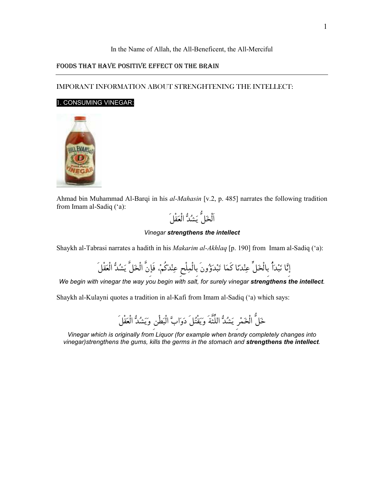### In the Name of Allah, the All-Beneficent, the All-Merciful

### FOODS THAT HAVE POSITIVE EFFECT ON THE BRAIN

## IMPORANT INFORMATION ABOUT STRENGHTENING THE INTELLECT:

### 1. CONSUMING VINEGAR:



Ahmad bin Muhammad Al-Barqi in his al-Mahasin [v.2, p. 485] narrates the following tradition from Imam al-Sadiq ('a):



#### Vinegar strengthens the intellect

Shaykh al-Tabrasi narrates a hadith in his Makarim al-Akhlaq [p. 190] from Imam al-Sadiq ('a):

إِنَّا نَبْدَأُ بِالْخَلِّ عِنْدَنَا كَمَا تَبْدَؤُونَ بِالْمِلْحِ عِنْدَكُمْ، فَإِنَّ الْخَلَّ يَشُدُّ الْعَقْلَ

We begin with vinegar the way you begin with salt, for surely vinegar strengthens the intellect.

Shaykh al-Kulayni quotes a tradition in al-Kafi from Imam al-Sadiq ('a) which says:

خَلُّ الْخَمْر يَشُدُّ اللِّثَّةَ وَيَقْتُلَ دَوَابَّ الْبَطْنِ وَيَشْدُّ الْعَقْلَ

Vinegar which is originally from Liquor (for example when brandy completely changes into vinegar)strengthens the gums, kills the germs in the stomach and strengthens the intellect.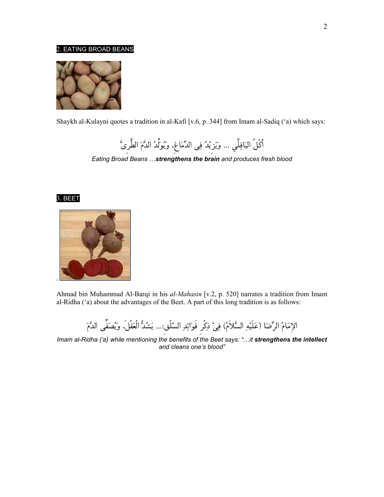### 2. EATING BROAD BEANS



Shaykh al-Kulayni quotes a tradition in al-Kafi [v.6, p. 344] from Imam al-Sadiq ('a) which says:

أَكْلُ البَاقِلَّي ... ويَزِيْدُ فِي الدِّمَاغِ، وَيُوَلِّدُ الذَّمَ الطَّرِيَّ

Eating Broad Beans ... strengthens the brain and produces fresh blood





Ahmad bin Muhammad Al-Barqi in his al-Mahasin [v.2, p. 520] narrates a tradition from Imam al-Ridha ('a) about the advantages of the Beet. A part of this long tradition is as follows:

الإِمَامُ الرِّضَا (عَلَيْهِ السَّلاَمُ) فِيْ ذِكْرِ فَوَائِدِ السّلْقِ:... يَشُدُّ الْعَقْلَ، ويُصَفِّى الدَّمَ

Imam al-Ridha ('a) while mentioning the benefits of the Beet says: "...it strengthens the intellect and cleans one's blood"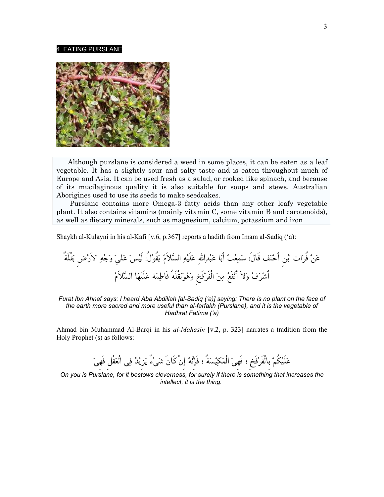#### 4. EATING PURSLANE



 Although purslane is considered a weed in some places, it can be eaten as a leaf vegetable. It has a slightly sour and salty taste and is eaten throughout much of Europe and Asia. It can be used fresh as a salad, or cooked like spinach, and because of its mucilaginous quality it is also suitable for soups and stews. Australian Aborigines used to use its seeds to make seedcakes.

 Purslane contains more Omega-3 fatty acids than any other leafy vegetable plant. It also contains vitamins (mainly vitamin C, some vitamin B and carotenoids), as well as dietary minerals, such as magnesium, calcium, potassium and iron

Shaykh al-Kulayni in his al-Kafi [v.6, p.367] reports a hadith from Imam al-Sadiq ('a):

ر فُنع ات اب نح أَنِ ف قَ االلهِدبا عب أَتعمس: الَ هيلَ ع الس عسيلَ: لُوقُ يملاَ لى الاَهج و ةٌلَقْ بضِر َقْبوه وخِفَرفَ الْن معفَن أَلاَ وفرشأَ ماط فَةُل هيلَة ع ا الس ملاَ

Furat Ibn Ahnaf says: I heard Aba Abdillah [al-Sadiq ('a)] saying: There is no plant on the face of the earth more sacred and more useful than al-farfakh (Purslane), and it is the vegetable of Hadhrat Fatima ('a)

Ahmad bin Muhammad Al-Barqi in his *al-Mahasin* [v.2, p. 323] narrates a tradition from the Holy Prophet (s) as follows:

عَلَيْكُمْ بالْفَرْفَخ ؛ فَهِيَ الْمَكِيْسَةُ ؛ فَإِنَّهُ إِنْ كَانَ شَيْءٌ يَزِيْدُ فِي الْعَقْلِ فَهِيَ

On you is Purslane, for it bestows cleverness, for surely if there is something that increases the intellect, it is the thing.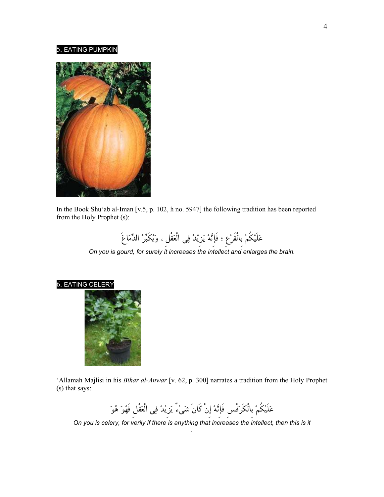#### 5. EATING PUMPKIN



In the Book Shu'ab al-Iman [v.5, p. 102, h no. 5947] the following tradition has been reported from the Holy Prophet (s):

عَلَيْكُمْ بِالْقَرْعِ ؛ فَإِنَّهُ يَزِيْدُ فِي الْعَقْلِ ، وَيُكَبِّرُ الدِّمَاغَ

On you is gourd, for surely it increases the intellect and enlarges the brain.

![](_page_3_Picture_5.jpeg)

![](_page_3_Picture_6.jpeg)

'Allamah Majlisi in his Bihar al-Anwar [v. 62, p. 300] narrates a tradition from the Holy Prophet (s) that says:

عَلَيْكُمْ بِالْكَرَفْسِ فَإِنَّهُ إِنْ كَانَ شَيْءٌ يَزِيْدُ فِي الْعَقْلِ فَهُوَ هُوَ

On you is celery, for verily if there is anything that increases the intellect, then this is it .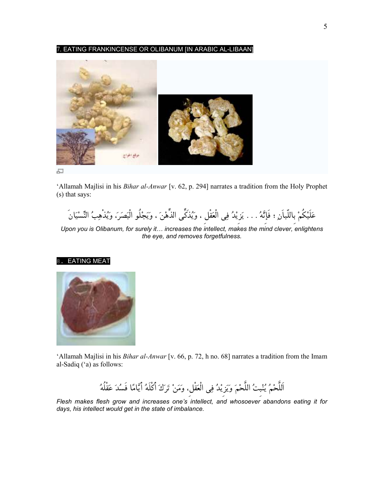7. EATING FRANKINCENSE OR OLIBANUM [IN ARABIC AL-LIBAAN]

![](_page_4_Picture_1.jpeg)

'Allamah Majlisi in his Bihar al-Anwar [v. 62, p. 294] narrates a tradition from the Holy Prophet (s) that says:

عَلَيْكُمْ بِاللّباَنِ ؛ فَإِنَّهُ . . . يَزِيْدُ فِي الْعَقْل ، وَيُذَكِّي الذِّهْنَ ، وَيَجْلُو الْبَصَرَ، وَيُذْهِبُ النِّسْيَانَ

Upon you is Olibanum, for surely it… increases the intellect, makes the mind clever, enlightens the eye, and removes forgetfulness.

#### 8. EATING MEAT

![](_page_4_Picture_6.jpeg)

'Allamah Majlisi in his Bihar al-Anwar [v. 66, p. 72, h no. 68] narrates a tradition from the Imam al-Sadiq ('a) as follows:

اللَّحْمُ يُنْبتُ اللَّحْمَ وَيَزِيْدُ فِي الْعَقْلِ، وَمَنْ تَرَكَ أَكْلَهُ أَيَّامًا فَسُدَ عَقْلُهُ

Flesh makes flesh grow and increases one's intellect, and whosoever abandons eating it for days, his intellect would get in the state of imbalance.